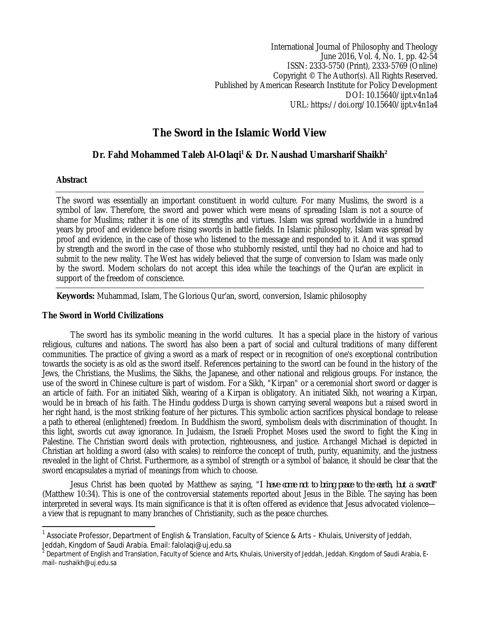International Journal of Philosophy and Theology June 2016, Vol. 4, No. 1, pp. 42-54 ISSN: 2333-5750 (Print), 2333-5769 (Online) Copyright © The Author(s). All Rights Reserved. Published by American Research Institute for Policy Development DOI: 10.15640/ijpt.v4n1a4 URL: https://doi.org/10.15640/ijpt.v4n1a4

# **The Sword in the Islamic World View**

# **Dr. Fahd Mohammed Taleb Al-Olaqi<sup>1</sup> & Dr. Naushad Umarsharif Shaikh<sup>2</sup>**

## **Abstract**

 $\overline{\phantom{a}}$ 

The sword was essentially an important constituent in world culture. For many Muslims, the sword is a symbol of law. Therefore, the sword and power which were means of spreading Islam is not a source of shame for Muslims; rather it is one of its strengths and virtues. Islam was spread worldwide in a hundred years by proof and evidence before rising swords in battle fields. In Islamic philosophy, Islam was spread by proof and evidence, in the case of those who listened to the message and responded to it. And it was spread by strength and the sword in the case of those who stubbornly resisted, until they had no choice and had to submit to the new reality. The West has widely believed that the surge of conversion to Islam was made only by the sword. Modern scholars do not accept this idea while the teachings of the Qur'an are explicit in support of the freedom of conscience.

**Keywords:** Muhammad, Islam, The Glorious Qur'an, sword, conversion, Islamic philosophy

#### **The Sword in World Civilizations**

The sword has its symbolic meaning in the world cultures. It has a special place in the history of various religious, cultures and nations. The sword has also been a part of social and cultural traditions of many different communities. The practice of giving a sword as a mark of respect or in recognition of one's exceptional contribution towards the society is as old as the sword itself. References pertaining to the sword can be found in the history of the Jews, the Christians, the Muslims, the Sikhs, the Japanese, and other national and religious groups. For instance, the use of the sword in Chinese culture is part of wisdom. For a Sikh, "Kirpan" or a ceremonial short sword or dagger is an article of faith. For an initiated Sikh, wearing of a Kirpan is obligatory. An initiated Sikh, not wearing a Kirpan, would be in breach of his faith. The Hindu goddess Durga is shown carrying several weapons but a raised sword in her right hand, is the most striking feature of her pictures. This symbolic action sacrifices physical bondage to release a path to ethereal (enlightened) freedom. In Buddhism the sword, symbolism deals with discrimination of thought. In this light, swords cut away ignorance. In Judaism, the Israeli Prophet Moses used the sword to fight the King in Palestine. The Christian sword deals with protection, righteousness, and justice. Archangel Michael is depicted in Christian art holding a sword (also with scales) to reinforce the concept of truth, purity, equanimity, and the justness revealed in the light of Christ. Furthermore, as a symbol of strength or a symbol of balance, it should be clear that the sword encapsulates a myriad of meanings from which to choose.

Jesus Christ has been quoted by Matthew as saying, "*I have come not to bring peace to the earth, but a sword!*" (Matthew 10:34). This is one of the controversial statements reported about Jesus in the Bible. The saying has been interpreted in several ways. Its main significance is that it is often offered as evidence that Jesus advocated violencea view that is repugnant to many branches of Christianity, such as the peace churches.

<sup>1</sup> Associate Professor, Department of English & Translation, Faculty of Science & Arts – Khulais, University of Jeddah, Jeddah, Kingdom of Saudi Arabia. Email: falolaqi@uj.edu.sa

 $^2$  Department of English and Translation, Faculty of Science and Arts, Khulais, University of Jeddah, Jeddah. Kingdom of Saudi Arabia, Email- nushaikh@uj.edu.sa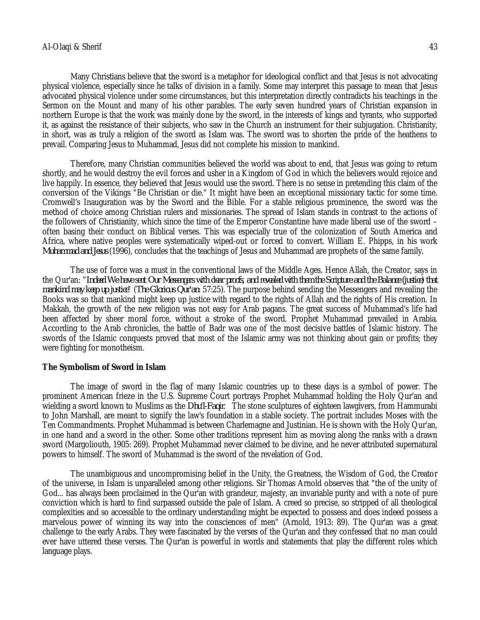Many Christians believe that the sword is a metaphor for ideological conflict and that Jesus is not advocating physical violence, especially since he talks of division in a family. Some may interpret this passage to mean that Jesus advocated physical violence under some circumstances, but this interpretation directly contradicts his teachings in the Sermon on the Mount and many of his other parables. The early seven hundred years of Christian expansion in northern Europe is that the work was mainly done by the sword, in the interests of kings and tyrants, who supported it, as against the resistance of their subjects, who saw in the Church an instrument for their subjugation. Christianity, in short, was as truly a religion of the sword as Islam was. The sword was to shorten the pride of the heathens to prevail. Comparing Jesus to Muhammad, Jesus did not complete his mission to mankind.

Therefore, many Christian communities believed the world was about to end, that Jesus was going to return shortly, and he would destroy the evil forces and usher in a Kingdom of God in which the believers would rejoice and live happily. In essence, they believed that Jesus would use the sword. There is no sense in pretending this claim of the conversion of the Vikings "Be Christian or die." It might have been an exceptional missionary tactic for some time. Cromwell's Inauguration was by the Sword and the Bible. For a stable religious prominence, the sword was the method of choice among Christian rulers and missionaries. The spread of Islam stands in contrast to the actions of the followers of Christianity, which since the time of the Emperor Constantine have made liberal use of the sword – often basing their conduct on Biblical verses. This was especially true of the colonization of South America and Africa, where native peoples were systematically wiped-out or forced to convert. William E. Phipps, in his work *Muhammad and Jesus* (1996), concludes that the teachings of Jesus and Muhammad are prophets of the same family.

The use of force was a must in the conventional laws of the Middle Ages. Hence Allah, the Creator, says in the Qur'an: "*Indeed We have sent Our Messengers with clear proofs, and revealed with them the Scripture and the Balance (justice) that mankind may keep up justice*" (*The Glorious Qur'an*: 57:25). The purpose behind sending the Messengers and revealing the Books was so that mankind might keep up justice with regard to the rights of Allah and the rights of His creation. In Makkah, the growth of the new religion was not easy for Arab pagans. The great success of Muhammad's life had been affected by sheer moral force, without a stroke of the sword. Prophet Muhammad prevailed in Arabia. According to the Arab chronicles, the battle of Badr was one of the most decisive battles of Islamic history. The swords of the Islamic conquests proved that most of the Islamic army was not thinking about gain or profits; they were fighting for monotheism.

#### **The Symbolism of Sword in Islam**

The image of sword in the flag of many Islamic countries up to these days is a symbol of power. The prominent American frieze in the U.S. Supreme Court portrays Prophet Muhammad holding the Holy Qur'an and wielding a sword known to Muslims as the *Dhu'l-Faqir*. The stone sculptures of eighteen lawgivers, from Hammurabi to John Marshall, are meant to signify the law's foundation in a stable society. The portrait includes Moses with the Ten Commandments. Prophet Muhammad is between Charlemagne and Justinian. He is shown with the Holy Qur'an, in one hand and a sword in the other. Some other traditions represent him as moving along the ranks with a drawn sword (Margoliouth, 1905: 269). Prophet Muhammad never claimed to be divine, and he never attributed supernatural powers to himself. The sword of Muhammad is the sword of the revelation of God.

The unambiguous and uncompromising belief in the Unity, the Greatness, the Wisdom of God, the Creator of the universe, in Islam is unparalleled among other religions. Sir Thomas Arnold observes that "the of the unity of God... has always been proclaimed in the Qur'an with grandeur, majesty, an invariable purity and with a note of pure conviction which is hard to find surpassed outside the pale of Islam. A creed so precise, so stripped of all theological complexities and so accessible to the ordinary understanding might be expected to possess and does indeed possess a marvelous power of winning its way into the consciences of men" (Arnold, 1913: 89). The Qur'an was a great challenge to the early Arabs. They were fascinated by the verses of the Qur'an and they confessed that no man could ever have uttered these verses. The Qur'an is powerful in words and statements that play the different roles which language plays.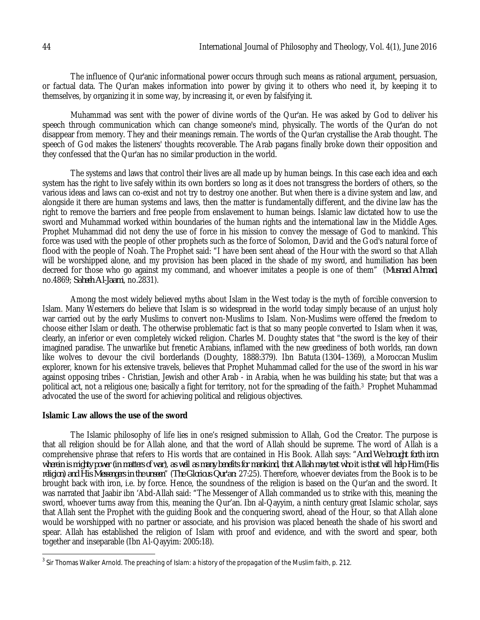The influence of Qur'anic informational power occurs through such means as rational argument, persuasion, or factual data. The Qur'an makes information into power by giving it to others who need it, by keeping it to themselves, by organizing it in some way, by increasing it, or even by falsifying it.

Muhammad was sent with the power of divine words of the Qur'an. He was asked by God to deliver his speech through communication which can change someone's mind, physically. The words of the Qur'an do not disappear from memory. They and their meanings remain. The words of the Qur'an crystallise the Arab thought. The speech of God makes the listeners' thoughts recoverable. The Arab pagans finally broke down their opposition and they confessed that the Qur'an has no similar production in the world.

The systems and laws that control their lives are all made up by human beings. In this case each idea and each system has the right to live safely within its own borders so long as it does not transgress the borders of others, so the various ideas and laws can co-exist and not try to destroy one another. But when there is a divine system and law, and alongside it there are human systems and laws, then the matter is fundamentally different, and the divine law has the right to remove the barriers and free people from enslavement to human beings. Islamic law dictated how to use the sword and Muhammad worked within boundaries of the human rights and the international law in the Middle Ages. Prophet Muhammad did not deny the use of force in his mission to convey the message of God to mankind. This force was used with the people of other prophets such as the force of Solomon, David and the God's natural force of flood with the people of Noah. The Prophet said: "I have been sent ahead of the Hour with the sword so that Allah will be worshipped alone, and my provision has been placed in the shade of my sword, and humiliation has been decreed for those who go against my command, and whoever imitates a people is one of them" (*Musnad Ahmad*, no.4869; *Saheeh Al-Jaami*, no.2831).

Among the most widely believed myths about Islam in the West today is the myth of forcible conversion to Islam. Many Westerners do believe that Islam is so widespread in the world today simply because of an unjust holy war carried out by the early Muslims to convert non-Muslims to Islam. Non-Muslims were offered the freedom to choose either Islam or death. The otherwise problematic fact is that so many people converted to Islam when it was, clearly, an inferior or even completely wicked religion. Charles M. Doughty states that "the sword is the key of their imagined paradise. The unwarlike but frenetic Arabians, inflamed with the new greediness of both worlds, ran down like wolves to devour the civil borderlands (Doughty, 1888:379). Ibn Batuta (1304–1369), a Moroccan Muslim explorer, known for his extensive travels, believes that Prophet Muhammad called for the use of the sword in his war against opposing tribes - Christian, Jewish and other Arab - in Arabia, when he was building his state; but that was a political act, not a religious one; basically a fight for territory, not for the spreading of the faith.<sup>3</sup> Prophet Muhammad advocated the use of the sword for achieving political and religious objectives.

#### **Islamic Law allows the use of the sword**

The Islamic philosophy of life lies in one's resigned submission to Allah, God the Creator. The purpose is that all religion should be for Allah alone, and that the word of Allah should be supreme. The word of Allah is a comprehensive phrase that refers to His words that are contained in His Book. Allah says: "*And We brought forth iron wherein is mighty power (in matters of war), as well as many benefits for mankind, that Allah may test who it is that will help Him (His religion) and His Messengers in the unseen*" (*The Glorious Qur'an*: 27:25). Therefore, whoever deviates from the Book is to be brought back with iron, i.e. by force. Hence, the soundness of the religion is based on the Qur'an and the sword. It was narrated that Jaabir ibn 'Abd-Allah said: "The Messenger of Allah commanded us to strike with this, meaning the sword, whoever turns away from this, meaning the Qur'an. Ibn al-Qayyim, a ninth century great Islamic scholar, says that Allah sent the Prophet with the guiding Book and the conquering sword, ahead of the Hour, so that Allah alone would be worshipped with no partner or associate, and his provision was placed beneath the shade of his sword and spear. Allah has established the religion of Islam with proof and evidence, and with the sword and spear, both together and inseparable (Ibn Al-Qayyim: 2005:18).

 $\overline{\phantom{a}}$ 3 Sir Thomas Walker Arnold. *The preaching of Islam: a history of the propagation of the Muslim faith*, p. 212.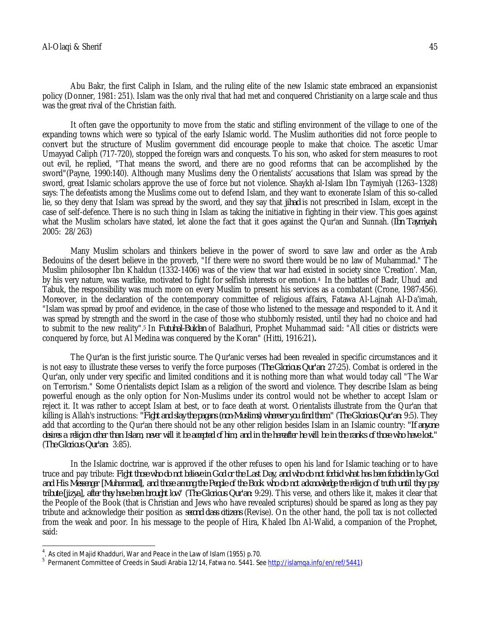Abu Bakr, the first Caliph in Islam, and the ruling elite of the new Islamic state embraced an expansionist policy (Donner, 1981: 251). Islam was the only rival that had met and conquered Christianity on a large scale and thus was the great rival of the Christian faith.

It often gave the opportunity to move from the static and stifling environment of the village to one of the expanding towns which were so typical of the early Islamic world. The Muslim authorities did not force people to convert but the structure of Muslim government did encourage people to make that choice. The ascetic Umar Umayyad Caliph (717-720), stopped the foreign wars and conquests. To his son, who asked for stern measures to root out evil, he replied, "That means the sword, and there are no good reforms that can be accomplished by the sword"(Payne, 1990:140). Although many Muslims deny the Orientalists' accusations that Islam was spread by the sword, great Islamic scholars approve the use of force but not violence. Shaykh al-Islam Ibn Taymiyah (1263–1328) says: The defeatists among the Muslims come out to defend Islam, and they want to exonerate Islam of this so-called lie, so they deny that Islam was spread by the sword, and they say that *jihad* is not prescribed in Islam, except in the case of self-defence. There is no such thing in Islam as taking the initiative in fighting in their view. This goes against what the Muslim scholars have stated, let alone the fact that it goes against the Qur'an and Sunnah. (*Ibn Taymiyah*, 2005: 28/263)

Many Muslim scholars and thinkers believe in the power of sword to save law and order as the Arab Bedouins of the desert believe in the proverb, "If there were no sword there would be no law of Muhammad." The Muslim philosopher Ibn Khaldun (1332-1406) was of the view that war had existed in society since 'Creation'. Man, by his very nature, was warlike, motivated to fight for selfish interests or emotion.<sup>4</sup> In the battles of Badr, Uhud and Tabuk, the responsibility was much more on every Muslim to present his services as a combatant (Crone, 1987:456). Moreover, in the declaration of the contemporary committee of religious affairs, Fatawa Al-Lajnah Al-Da'imah, "Islam was spread by proof and evidence, in the case of those who listened to the message and responded to it. And it was spread by strength and the sword in the case of those who stubbornly resisted, until they had no choice and had to submit to the new reality".<sup>5</sup> In *Futuhal-Buldan* of Baladhuri, Prophet Muhammad said: "All cities or districts were conquered by force, but Al Medina was conquered by the Koran" (Hitti, 1916:21)**.** 

The Qur'an is the first juristic source. The Qur'anic verses had been revealed in specific circumstances and it is not easy to illustrate these verses to verify the force purposes (*The Glorious Qur'an*: 27:25). Combat is ordered in the Qur'an, only under very specific and limited conditions and it is nothing more than what would today call "The War on Terrorism." Some Orientalists depict Islam as a religion of the sword and violence. They describe Islam as being powerful enough as the only option for Non-Muslims under its control would not be whether to accept Islam or reject it. It was rather to accept Islam at best, or to face death at worst. Orientalists illustrate from the Qur'an that killing is Allah's instructions: *"Fight and slay the pagans (non-Muslims) wherever you find them."* (*The Glorious Qur'an*: 9:5). They add that according to the Qur'an there should not be any other religion besides Islam in an Islamic country: *"If anyone desires a religion other than Islam, never will it be accepted of him; and in the hereafter he will be in the ranks of those who have lost."* (*The Glorious Qur'an*: 3:85).

In the Islamic doctrine, war is approved if the other refuses to open his land for Islamic teaching or to have truce and pay tribute: *Fight those who do not believe in God or the Last Day, and who do not forbid what has been forbidden by God and His Messenger [Muhammad], and those among the People of the Book who do not acknowledge the religion of truth until they pay tribute [jizya], after they have been brought low*" (*The Glorious Qur'an*: 9:29). This verse, and others like it, makes it clear that the People of the Book (that is Christian and Jews who have revealed scriptures) should be spared as long as they pay tribute and acknowledge their position as *second class citizens* (Revise). On the other hand, the poll tax is not collected from the weak and poor. In his message to the people of Hira, Khaled Ibn Al-Walid, a companion of the Prophet, said:

 4 . As cited in Majid Khadduri, *War and Peace in the Law of Islam* (1955) p.70.

<sup>5</sup> Permanent Committee of Creeds in Saudi Arabia 12/14, Fatwa no. 5441. See http://islamqa.info/en/ref/5441)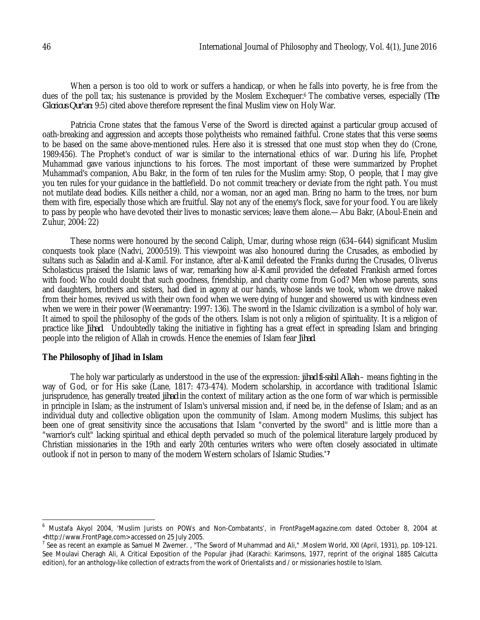When a person is too old to work or suffers a handicap, or when he falls into poverty, he is free from the dues of the poll tax; his sustenance is provided by the Moslem Exchequer.<sup>6</sup> The combative verses, especially (*The Glorious Qur'an*: 9:5) cited above therefore represent the final Muslim view on Holy War.

Patricia Crone states that the famous Verse of the Sword is directed against a particular group accused of oath-breaking and aggression and accepts those polytheists who remained faithful. Crone states that this verse seems to be based on the same above-mentioned rules. Here also it is stressed that one must stop when they do (Crone, 1989:456). The Prophet's conduct of war is similar to the international ethics of war. During his life, Prophet Muhammad gave various injunctions to his forces. The most important of these were summarized by Prophet Muhammad's companion, Abu Bakr, in the form of ten rules for the Muslim army: Stop, O people, that I may give you ten rules for your guidance in the battlefield. Do not commit treachery or deviate from the right path. You must not mutilate dead bodies. Kills neither a child, nor a woman, nor an aged man. Bring no harm to the trees, nor burn them with fire, especially those which are fruitful. Slay not any of the enemy's flock, save for your food. You are likely to pass by people who have devoted their lives to monastic services; leave them alone.—Abu Bakr, (Aboul-Enein and Zuhur, 2004: 22)

These norms were honoured by the second Caliph, Umar, during whose reign (634–644) significant Muslim conquests took place (Nadvi, 2000:519). This viewpoint was also honoured during the Crusades, as embodied by sultans such as Saladin and al-Kamil. For instance, after al-Kamil defeated the Franks during the Crusades, Oliverus Scholasticus praised the Islamic laws of war, remarking how al-Kamil provided the defeated Frankish armed forces with food: Who could doubt that such goodness, friendship, and charity come from God? Men whose parents, sons and daughters, brothers and sisters, had died in agony at our hands, whose lands we took, whom we drove naked from their homes, revived us with their own food when we were dying of hunger and showered us with kindness even when we were in their power (Weeramantry: 1997: 136). The sword in the Islamic civilization is a symbol of holy war. It aimed to spoil the philosophy of the gods of the others. Islam is not only a religion of spirituality. It is a religion of practice like *Jihad*. Undoubtedly taking the initiative in fighting has a great effect in spreading Islam and bringing people into the religion of Allah in crowds. Hence the enemies of Islam fear *Jihad*.

#### **The Philosophy of Jihad in Islam**

 $\overline{\phantom{a}}$ 

The holy war particularly as understood in the use of the expression: *jihad fi-sabil Allah* – means fighting in the way of God, or for His sake (Lane, 1817: 473-474). Modern scholarship, in accordance with traditional Islamic jurisprudence, has generally treated *jihad* in the context of military action as the one form of war which is permissible in principle in Islam; as the instrument of Islam's universal mission and, if need be, in the defense of Islam; and as an individual duty and collective obligation upon the community of Islam. Among modern Muslims, this subject has been one of great sensitivity since the accusations that Islam "converted by the sword" and is little more than a "warrior's cult" lacking spiritual and ethical depth pervaded so much of the polemical literature largely produced by Christian missionaries in the 19th and early 20th centuries writers who were often closely associated in ultimate outlook if not in person to many of the modern Western scholars of Islamic Studies.*"7*

<sup>6</sup> Mustafa Akyol 2004, 'Muslim Jurists on POWs and Non-Combatants', in *FrontPageMagazine.com* dated October 8, 2004 at <http://www.FrontPage.com> accessed on 25 July 2005.

<sup>7</sup> See *as recent an* example as Samuel M Zwemer. , "The Sword of Muhammad and Ali," .Moslem World, XXI (April, 1931), pp. 109-121. See Moulavi Cheragh Ali, A Critical Exposition of the Popular jihad (Karachi: Karimsons, 1977, reprint of the original 1885 Calcutta edition), for an anthology-like collection of extracts from the work of Orientalists and / or missionaries hostile to Islam.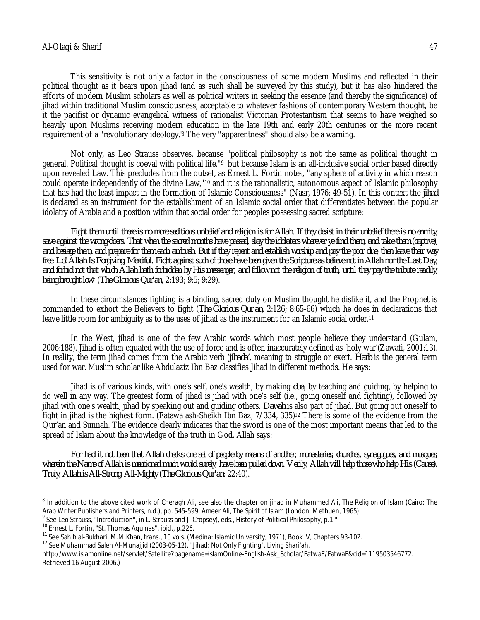This sensitivity is not only a factor in the consciousness of some modern Muslims and reflected in their political thought as it bears upon jihad (and as such shall be surveyed by this study), but it has also hindered the efforts of modern Muslim scholars as well as political writers in seeking the essence (and thereby the significance) of jihad within traditional Muslim consciousness, acceptable to whatever fashions of contemporary Western thought, be it the pacifist or dynamic evangelical witness of rationalist Victorian Protestantism that seems to have weighed so heavily upon Muslims receiving modern education in the late 19th and early 20th centuries or the more recent requirement of a "revolutionary ideology.'<sup>8</sup> The very "apparentness" should also be a warning.

Not only, as Leo Strauss observes, because "political philosophy is not the same as political thought in general. Political thought is coeval with political life,"<sup>9</sup> but because Islam is an all-inclusive social order based directly upon revealed Law. This precludes from the outset, as Ernest L. Fortin notes, "any sphere of activity in which reason could operate independently of the divine Law,"<sup>10</sup> and it is the rationalistic, autonomous aspect of Islamic philosophy that has had the least impact in the formation of Islamic Consciousness" (Nasr, 1976: 49-51). In this context the *jihad* is declared as an instrument for the establishment of an Islamic social order that differentiates between the popular idolatry of Arabia and a position within that social order for peoples possessing sacred scripture:

*Fight them until there is no more seditious unbelief and religion is for Allah. If they desist in their unbelief there is no enmity, save against the wrong-doers. That when the sacred months have passed, slay the idolaters wherever ye find them, and take them (captive), and besiege them, and prepare for them each ambush. But if they repent and establish worship and pay the poor due, then leave their way free. Lo! Allah Is Forgiving, Merciful. Fight against such of those have been given the Scripture as believe not in Allah nor the Last Day, and forbid not that which Allah hath forbidden by His messenger, and follow not the religion of truth, until they pay the tribute readily, being brought low"* (*The Glorious Qur'an*, 2:193; 9:5; 9:29).

In these circumstances fighting is a binding, sacred duty on Muslim thought he dislike it, and the Prophet is commanded to exhort the Believers to fight (*The Glorious Qur'an*, 2:126; 8:65-66) which he does in declarations that leave little room for ambiguity as to the uses of jihad as the instrument for an Islamic social order.<sup>11</sup>

In the West, jihad is one of the few Arabic words which most people believe they understand (Gulam, 2006:188). Jihad is often equated with the use of force and is often inaccurately defined as 'holy war'(Zawati, 2001:13). In reality, the term jihad comes from the Arabic verb '*jihada'*, meaning to struggle or exert. *Harb* is the general term used for war. Muslim scholar like Abdulaziz Ibn Baz classifies Jihad in different methods. He says:

Jihad is of various kinds, with one's self, one's wealth, by making *dua*, by teaching and guiding, by helping to do well in any way. The greatest form of jihad is jihad with one's self (i.e., going oneself and fighting), followed by jihad with one's wealth, jihad by speaking out and guiding others. *Dawah* is also part of jihad. But going out oneself to fight in jihad is the highest form. (Fatawa ash-Sheikh Ibn Baz, 7/334, 335)<sup>12</sup> There is some of the evidence from the Qur'an and Sunnah. The evidence clearly indicates that the sword is one of the most important means that led to the spread of Islam about the knowledge of the truth in God. Allah says:

*For had it not been that Allah checks one set of people by means of another, monasteries, churches, synagogues, and mosques, wherein the Name of Allah is mentioned much would surely, have been pulled down. Verily, Allah will help those who help His (Cause). Truly, Allah is All-Strong, All-Mighty* (*The Glorious Qur'an*: 22:40).

 $\overline{\phantom{a}}$ 

<sup>8</sup> In addition to the above cited work of Cheragh Ali, see also the chapter on jihad in Muhammed Ali, *The Religion of Islam* (Cairo: The Arab Writer Publishers and Printers, n.d.), pp. 545-599; Ameer Ali, *The Spirit of lslam* (London: Methuen, 1965).

<sup>9</sup> See Leo Strauss, "Introduction", in L. Strauss and J. Cropsey), eds., *History of Political Philosophy*, p.1."

<sup>&</sup>lt;sup>10</sup> Ernest L. Fortin, "St. Thomas Aquinas", ibid., p.226.

<sup>&</sup>lt;sup>11</sup> See Sahih al-Bukhari, M.M.Khan, trans., 10 vols. (Medina: Islamic University, 1971), Book IV, Chapters 93-102.

<sup>&</sup>lt;sup>12</sup> See Muhammad Saleh Al-Munajjid (2003-05-12). "Jihad: Not Only Fighting". Living Shari'ah.

http://www.islamonline.net/servlet/Satellite?pagename=IslamOnline-English-Ask\_Scholar/FatwaE/FatwaE&cid=1119503546772. Retrieved 16 August 2006.)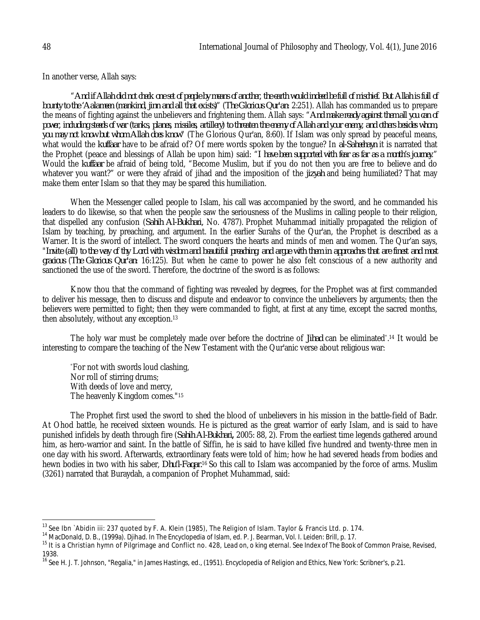In another verse, Allah says:

"*And if Allah did not check one set of people by means of another, the earth would indeed be full of mischief. But Allah is full of bounty to the 'Aalameen (mankind, jinn and all that exists)*" (*The Glorious Qur'an*: 2:251). Allah has commanded us to prepare the means of fighting against the unbelievers and frightening them. Allah says: "*And make ready against them all you can of*  power, including steeds of war (tanks, planes, missiles, artillery) to threaten the enemy of Allah and your enemy, and others besides whom, *you may not know but whom Allah does know*" (The Glorious Qur'an, 8:60). If Islam was only spread by peaceful means, what would the *kuffaar* have to be afraid of? Of mere words spoken by the tongue? In *al-Saheehayn* it is narrated that the Prophet (peace and blessings of Allah be upon him) said: "*I have been supported with fear as far as a month's journey*." Would the *kuffaar* be afraid of being told, "Become Muslim, but if you do not then you are free to believe and do whatever you want?" or were they afraid of jihad and the imposition of the *jizyah* and being humiliated? That may make them enter Islam so that they may be spared this humiliation.

When the Messenger called people to Islam, his call was accompanied by the sword, and he commanded his leaders to do likewise, so that when the people saw the seriousness of the Muslims in calling people to their religion, that dispelled any confusion (*Sahih Al-Bukhari,* No. 4787). Prophet Muhammad initially propagated the religion of Islam by teaching, by preaching, and argument. In the earlier Surahs of the Qur'an, the Prophet is described as a Warner. It is the sword of intellect. The sword conquers the hearts and minds of men and women. The Qur'an says, "*Invite (all) to the way of thy Lord with wisdom and beautiful preaching; and argue with them in approaches that are finest and most gracious* (*The Glorious Qur'an*: 16:125). But when he came to power he also felt conscious of a new authority and sanctioned the use of the sword. Therefore, the doctrine of the sword is as follows:

Know thou that the command of fighting was revealed by degrees, for the Prophet was at first commanded to deliver his message, then to discuss and dispute and endeavor to convince the unbelievers by arguments; then the believers were permitted to fight; then they were commanded to fight, at first at any time, except the sacred months, then absolutely, without any exception.<sup>13</sup>

The holy war must be completely made over before the doctrine of *Jihad* can be eliminated" . <sup>14</sup> It would be interesting to compare the teaching of the New Testament with the Qur'anic verse about religious war:

"For not with swords loud clashing, Nor roll of stirring drums; With deeds of love and mercy, The heavenly Kingdom comes."<sup>15</sup>

The Prophet first used the sword to shed the blood of unbelievers in his mission in the battle-field of Badr. At Ohod battle, he received sixteen wounds. He is pictured as the great warrior of early Islam, and is said to have punished infidels by death through fire (*Sahih Al-Bukhari***,** 2005: 88, 2). From the earliest time legends gathered around him, as hero-warrior and saint. In the battle of Siffin, he is said to have killed five hundred and twenty-three men in one day with his sword. Afterwards, extraordinary feats were told of him; how he had severed heads from bodies and hewn bodies in two with his saber, *Dhu'l-Faqar.*<sup>16</sup> So this call to Islam was accompanied by the force of arms. Muslim (3261) narrated that Buraydah, a companion of Prophet Muhammad, said:

 $\overline{\phantom{a}}$ 

<sup>13</sup> See Ibn `Abidin iii: 237 quoted by F. A. Klein (1985), *The Religion of Islam*. Taylor & Francis Ltd. p. 174.

<sup>14</sup> MacDonald, D. B., (1999a). *Djihad*. In *The Encyclopedia of Islam*, ed. P. J. Bearman, Vol. I. Leiden: Brill, p. 17.

<sup>15</sup> It is a Christian hymn of Pilgrimage and Conflict no. 428, *Lead on, o king eternal*. See Index of *The Book of Common Praise*, Revised, 1938.

<sup>16</sup> See H. J. T. Johnson, "Regalia," in James Hastings, ed., (1951). *Encyclopedia of Religion and Ethics,* New York: Scribner's, p.21.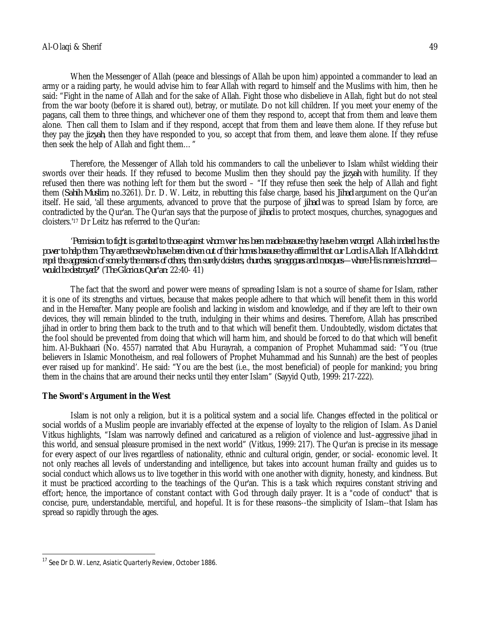When the Messenger of Allah (peace and blessings of Allah be upon him) appointed a commander to lead an army or a raiding party, he would advise him to fear Allah with regard to himself and the Muslims with him, then he said: "Fight in the name of Allah and for the sake of Allah. Fight those who disbelieve in Allah, fight but do not steal from the war booty (before it is shared out), betray, or mutilate. Do not kill children. If you meet your enemy of the pagans, call them to three things, and whichever one of them they respond to, accept that from them and leave them alone. Then call them to Islam and if they respond, accept that from them and leave them alone. If they refuse but they pay the *jizyah*, then they have responded to you, so accept that from them, and leave them alone. If they refuse then seek the help of Allah and fight them…"

Therefore, the Messenger of Allah told his commanders to call the unbeliever to Islam whilst wielding their swords over their heads. If they refused to become Muslim then they should pay the *jizyah* with humility. If they refused then there was nothing left for them but the sword – "If they refuse then seek the help of Allah and fight them (*Sahih Muslim*, no.3261). Dr. D. W. Leitz, in rebutting this false charge, based his *Jihad* argument on the Qur'an itself. He said, 'all these arguments, advanced to prove that the purpose of *jihad* was to spread Islam by force, are contradicted by the Qur'an. The Qur'an says that the purpose of *jihad* is to protect mosques, churches, synagogues and cloisters.'<sup>17</sup> Dr Leitz has referred to the Qur'an:

'*Permission to fight is granted to those against whom war has been made because they have been wronged. Allah indeed has the power to help them. They are those who have been driven out of their homes because they affirmed that our Lord is Allah. If Allah did not repel the aggression of some by the means of others, then surely cloisters, churches, synagogues and mosques—where His name is honored would be destroyed?*' (*The Glorious Qur'an*: 22:40- 41)

The fact that the sword and power were means of spreading Islam is not a source of shame for Islam, rather it is one of its strengths and virtues, because that makes people adhere to that which will benefit them in this world and in the Hereafter. Many people are foolish and lacking in wisdom and knowledge, and if they are left to their own devices, they will remain blinded to the truth, indulging in their whims and desires. Therefore, Allah has prescribed jihad in order to bring them back to the truth and to that which will benefit them. Undoubtedly, wisdom dictates that the fool should be prevented from doing that which will harm him, and should be forced to do that which will benefit him. Al-Bukhaari (No. 4557) narrated that Abu Hurayrah, a companion of Prophet Muhammad said: "You (true believers in Islamic Monotheism, and real followers of Prophet Muhammad and his Sunnah) are the best of peoples ever raised up for mankind'. He said: "You are the best (i.e., the most beneficial) of people for mankind; you bring them in the chains that are around their necks until they enter Islam" (Sayyid Qutb, 1999: 217-222).

## **The Sword's Argument in the West**

Islam is not only a religion, but it is a political system and a social life. Changes effected in the political or social worlds of a Muslim people are invariably effected at the expense of loyalty to the religion of Islam. As Daniel Vitkus highlights, "Islam was narrowly defined and caricatured as a religion of violence and lust–aggressive jihad in this world, and sensual pleasure promised in the next world" (Vitkus, 1999: 217). The Qur'an is precise in its message for every aspect of our lives regardless of nationality, ethnic and cultural origin, gender, or social- economic level. It not only reaches all levels of understanding and intelligence, but takes into account human frailty and guides us to social conduct which allows us to live together in this world with one another with dignity, honesty, and kindness. But it must be practiced according to the teachings of the Qur'an. This is a task which requires constant striving and effort; hence, the importance of constant contact with God through daily prayer. It is a "code of conduct" that is concise, pure, understandable, merciful, and hopeful. It is for these reasons--the simplicity of Islam--that Islam has spread so rapidly through the ages.

 $\overline{\phantom{a}}$ <sup>17</sup> See Dr D. W. Lenz, *Asiatic Quarterly Review*, October 1886.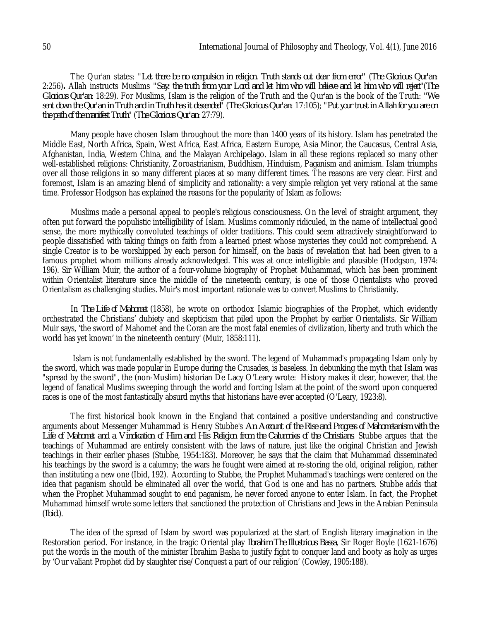The Qur'an states: "*Let there be no compulsion in religion. Truth stands out clear from error"* (*The Glorious Qur'an*: 2:256)*.* Allah instructs Muslims "*Say: the truth from your Lord and let him who will believe and let him who will reject*"(*The Glorious Qur'an*: 18:29). For Muslims, Islam is the religion of the Truth and the Qur'an is the book of the Truth: *"We sent down the Qur'an in Truth and in Truth has it descended*" (*The Glorious Qur'an*: 17:105); "*Put your trust in Allah for you are on the path of the manifest Truth*" (*The Glorious Qur'an*: 27:79).

Many people have chosen Islam throughout the more than 1400 years of its history. Islam has penetrated the Middle East, North Africa, Spain, West Africa, East Africa, Eastern Europe, Asia Minor, the Caucasus, Central Asia, Afghanistan, India, Western China, and the Malayan Archipelago. Islam in all these regions replaced so many other well-established religions: Christianity, Zoroastrianism, Buddhism, Hinduism, Paganism and animism. Islam triumphs over all those religions in so many different places at so many different times. The reasons are very clear. First and foremost, Islam is an amazing blend of simplicity and rationality: a very simple religion yet very rational at the same time. Professor Hodgson has explained the reasons for the popularity of Islam as follows:

Muslims made a personal appeal to people's religious consciousness. On the level of straight argument, they often put forward the populistic intelligibility of Islam. Muslims commonly ridiculed, in the name of intellectual good sense, the more mythically convoluted teachings of older traditions. This could seem attractively straightforward to people dissatisfied with taking things on faith from a learned priest whose mysteries they could not comprehend. A single Creator is to be worshipped by each person for himself, on the basis of revelation that had been given to a famous prophet whom millions already acknowledged. This was at once intelligible and plausible (Hodgson, 1974: 196). Sir William Muir, the author of a four-volume biography of Prophet Muhammad, which has been prominent within Orientalist literature since the middle of the nineteenth century, is one of those Orientalists who proved Orientalism as challenging studies. Muir's most important rationale was to convert Muslims to Christianity.

In *The Life of Mahomet* (1858), he wrote on orthodox Islamic biographies of the Prophet, which evidently orchestrated the Christians' dubiety and skepticism that piled upon the Prophet by earlier Orientalists. Sir William Muir says, 'the sword of Mahomet and the Coran are the most fatal enemies of civilization, liberty and truth which the world has yet known' in the nineteenth century' (Muir, 1858:111).

Islam is not fundamentally established by the sword. The legend of Muhammad's propagating Islam only by the sword, which was made popular in Europe during the Crusades, is baseless. In debunking the myth that Islam was "spread by the sword", the (non-Muslim) historian De Lacy O'Leary wrote: History makes it clear, however, that the legend of fanatical Muslims sweeping through the world and forcing Islam at the point of the sword upon conquered races is one of the most fantastically absurd myths that historians have ever accepted (O'Leary, 1923:8).

The first historical book known in the England that contained a positive understanding and constructive arguments about Messenger Muhammad is Henry Stubbe's *An Account of the Rise and Progress of Mahometanism with the Life of Mahomet and a Vindication of Him and His Religion from the Calumnies of the Christians*. Stubbe argues that the teachings of Muhammad are entirely consistent with the laws of nature, just like the original Christian and Jewish teachings in their earlier phases (Stubbe, 1954:183). Moreover, he says that the claim that Muhammad disseminated his teachings by the sword is a calumny; the wars he fought were aimed at re-storing the old, original religion, rather than instituting a new one (Ibid*,* 192). According to Stubbe, the Prophet Muhammad's teachings were centered on the idea that paganism should be eliminated all over the world, that God is one and has no partners. Stubbe adds that when the Prophet Muhammad sought to end paganism, he never forced anyone to enter Islam. In fact, the Prophet Muhammad himself wrote some letters that sanctioned the protection of Christians and Jews in the Arabian Peninsula (*Ibid.*).

The idea of the spread of Islam by sword was popularized at the start of English literary imagination in the Restoration period. For instance, in the tragic Oriental play *Ibrahim The Illustrious Bassa*, Sir Roger Boyle (1621-1676) put the words in the mouth of the minister Ibrahim Basha to justify fight to conquer land and booty as holy as urges by 'Our valiant Prophet did by slaughter rise/Conquest a part of our religion' (Cowley*,* 1905:188).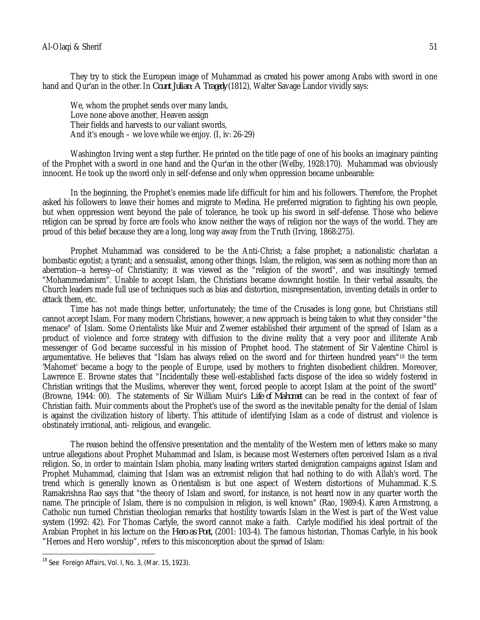They try to stick the European image of Muhammad as created his power among Arabs with sword in one hand and Qur'an in the other.In *Count Julian: A Tragedy* (1812), Walter Savage Landor vividly says:

We, whom the prophet sends over many lands, Love none above another, Heaven assign Their fields and harvests to our valiant swords, And it's enough – we love while we enjoy. (I, iv: 26-29)

Washington Irving went a step further. He printed on the title page of one of his books an imaginary painting of the Prophet with a sword in one hand and the Qur'an in the other (Welby, 1928:170). Muhammad was obviously innocent. He took up the sword only in self-defense and only when oppression became unbearable:

In the beginning, the Prophet's enemies made life difficult for him and his followers. Therefore, the Prophet asked his followers to leave their homes and migrate to Medina. He preferred migration to fighting his own people, but when oppression went beyond the pale of tolerance, he took up his sword in self-defense. Those who believe religion can be spread by force are fools who know neither the ways of religion nor the ways of the world. They are proud of this belief because they are a long, long way away from the Truth (Irving, 1868:275).

Prophet Muhammad was considered to be the Anti-Christ; a false prophet; a nationalistic charlatan a bombastic egotist; a tyrant; and a sensualist, among other things. Islam, the religion, was seen as nothing more than an aberration--a heresy--of Christianity; it was viewed as the "religion of the sword", and was insultingly termed "Mohammedanism". Unable to accept Islam, the Christians became downright hostile. In their verbal assaults, the Church leaders made full use of techniques such as bias and distortion, misrepresentation, inventing details in order to attack them, etc.

Time has not made things better, unfortunately; the time of the Crusades is long gone, but Christians still cannot accept Islam. For many modern Christians, however, a new approach is being taken to what they consider "the menace" of Islam. Some Orientalists like Muir and Zwemer established their argument of the spread of Islam as a product of violence and force strategy with diffusion to the divine reality that a very poor and illiterate Arab messenger of God became successful in his mission of Prophet hood. The statement of Sir Valentine Chirol is argumentative. He believes that "Islam has always relied on the sword and for thirteen hundred years" <sup>18</sup> the term 'Mahomet' became a bogy to the people of Europe, used by mothers to frighten disobedient children. Moreover, Lawrence E. Browne states that "Incidentally these well-established facts dispose of the idea so widely fostered in Christian writings that the Muslims, wherever they went, forced people to accept Islam at the point of the sword" (Browne, 1944: 00). The statements of Sir William Muir's *Life of Mahomet* can be read in the context of fear of Christian faith. Muir comments about the Prophet's use of the sword as the inevitable penalty for the denial of Islam is against the civilization history of liberty. This attitude of identifying Islam as a code of distrust and violence is obstinately irrational, anti- religious, and evangelic.

The reason behind the offensive presentation and the mentality of the Western men of letters make so many untrue allegations about Prophet Muhammad and Islam, is because most Westerners often perceived Islam as a rival religion. So, in order to maintain Islam phobia, many leading writers started denigration campaigns against Islam and Prophet Muhammad, claiming that Islam was an extremist religion that had nothing to do with Allah's word. The trend which is generally known as Orientalism is but one aspect of Western distortions of Muhammad. K.S. Ramakrishna Rao says that "the theory of Islam and sword, for instance, is not heard now in any quarter worth the name. The principle of Islam, there is no compulsion in religion, is well known" (Rao, 1989:4). Karen Armstrong, a Catholic nun turned Christian theologian remarks that hostility towards Islam in the West is part of the West value system (1992: 42). For Thomas Carlyle, the sword cannot make a faith. Carlyle modified his ideal portrait of the Arabian Prophet in his lecture on the *Hero as Poet,* (2001: 103-4). The famous historian, Thomas Carlyle, in his book "Heroes and Hero worship", refers to this misconception about the spread of Islam:

 $\overline{\phantom{a}}$ 

<sup>18</sup> See *Foreign Affairs,* Vol. I, No. 3, (Mar. 15, 1923).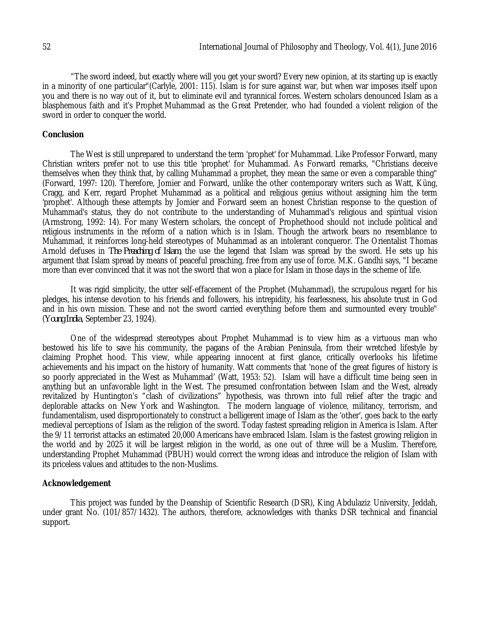"The sword indeed, but exactly where will you get your sword? Every new opinion, at its starting up is exactly in a minority of one particular"(Carlyle, 2001: 115). Islam is for sure against war, but when war imposes itself upon you and there is no way out of it, but to eliminate evil and tyrannical forces. Western scholars denounced Islam as a blasphemous faith and it's Prophet Muhammad as the Great Pretender, who had founded a violent religion of the sword in order to conquer the world.

#### **Conclusion**

The West is still unprepared to understand the term 'prophet' for Muhammad. Like Professor Forward, many Christian writers prefer not to use this title 'prophet' for Muhammad. As Forward remarks, "Christians deceive themselves when they think that, by calling Muhammad a prophet, they mean the same or even a comparable thing" (Forward, 1997: 120). Therefore, Jomier and Forward, unlike the other contemporary writers such as Watt, Küng, Cragg, and Kerr, regard Prophet Muhammad as a political and religious genius without assigning him the term 'prophet'. Although these attempts by Jomier and Forward seem an honest Christian response to the question of Muhammad's status, they do not contribute to the understanding of Muhammad's religious and spiritual vision (Armstrong, 1992: 14). For many Western scholars, the concept of Prophethood should not include political and religious instruments in the reform of a nation which is in Islam. Though the artwork bears no resemblance to Muhammad, it reinforces long-held stereotypes of Muhammad as an intolerant conqueror. The Orientalist Thomas Arnold defuses in *The Preaching of Islam*, the use the legend that Islam was spread by the sword. He sets up his argument that Islam spread by means of peaceful preaching, free from any use of force. M.K. Gandhi says, "I became more than ever convinced that it was not the sword that won a place for Islam in those days in the scheme of life.

It was rigid simplicity, the utter self-effacement of the Prophet (Muhammad), the scrupulous regard for his pledges, his intense devotion to his friends and followers, his intrepidity, his fearlessness, his absolute trust in God and in his own mission. These and not the sword carried everything before them and surmounted every trouble" (*Young India*, September 23, 1924).

One of the widespread stereotypes about Prophet Muhammad is to view him as a virtuous man who bestowed his life to save his community, the pagans of the Arabian Peninsula, from their wretched lifestyle by claiming Prophet hood. This view, while appearing innocent at first glance, critically overlooks his lifetime achievements and his impact on the history of humanity. Watt comments that 'none of the great figures of history is so poorly appreciated in the West as Muhammad' (Watt, 1953: 52). Islam will have a difficult time being seen in anything but an unfavorable light in the West. The presumed confrontation between Islam and the West, already revitalized by Huntington's "clash of civilizations" hypothesis, was thrown into full relief after the tragic and deplorable attacks on New York and Washington. The modern language of violence, militancy, terrorism, and fundamentalism, used disproportionately to construct a belligerent image of Islam as the 'other', goes back to the early medieval perceptions of Islam as the religion of the sword. Today fastest spreading religion in America is Islam. After the 9/11 terrorist attacks an estimated 20,000 Americans have embraced Islam. Islam is the fastest growing religion in the world and by 2025 it will be largest religion in the world, as one out of three will be a Muslim. Therefore, understanding Prophet Muhammad (PBUH) would correct the wrong ideas and introduce the religion of Islam with its priceless values and attitudes to the non-Muslims.

#### **Acknowledgement**

This project was funded by the Deanship of Scientific Research (DSR), King Abdulaziz University, Jeddah, under grant No. (101/857/1432). The authors, therefore, acknowledges with thanks DSR technical and financial support.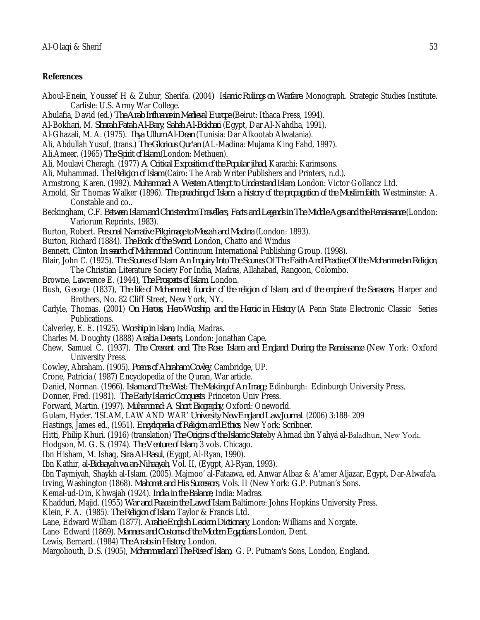#### **References**

- Aboul-Enein, Youssef H & Zuhur, Sherifa. (2004*) Islamic Rulings on Warfare.* Monograph. Strategic Studies Institute. Carlisle: U.S. Army War College.
- Abulafia, David (ed.) *The Arab Influence in Medieval Europe* (Beirut: Ithaca Press, 1994).
- Al-Bokhari, M. *Sharah Fatah Al-Bary; Saheh Al-Bokhari* (Egypt, Dar Al-Nahdha, 1991).
- Al-Ghazali, M. A. (1975). *Ihya Ullum Al-Dean* (Tunisia: Dar Alkootab Alwatania).
- Ali, Abdullah Yusuf, (trans.) *The Glorious Qur'an* (AL-Madina: Mujama King Fahd, 1997).
- Ali,Ameer. (1965) *The Spirit of lslam* (London: Methuen).
- Ali, Moulavi Cheragh. (1977) *A Critical Exposition of the Popular jihad,* Karachi: Karimsons.
- Ali, Muhammad. *The Religion of Islam* (Cairo: The Arab Writer Publishers and Printers, n.d.).
- Armstrong, Karen. (1992). *Muhammad: A Western Attempt to Understand Islam*, London: Victor Gollancz Ltd.
- Arnold, Sir Thomas Walker (1896). *The preaching of Islam: a history of the propagation of the Muslim faith.* Westminster: A. Constable and co..
- Beckingham, C.F. *Between Islam and Christendom Travellers, Facts and Legends in The Middle Ages and the Renaissance* (London: Variorum Reprints, 1983).
- Burton, Robert. *Personal Narrative Pilgrimage to Meccah and Madina* (London: 1893).
- Burton, Richard (1884). *The Book of the Sword*, London, Chatto and Windus
- Bennett, Clinton *In search of Muhammad*. Continuum International Publishing Group. (1998).
- Blair, John C. (1925). *The Sources of Islam: An Inquiry Into The Sources Of The Faith And Practice Of the Mohammedan Religion*, The Christian Literature Society For India, Madras, Allahabad, Rangoon, Colombo.
- Browne, Lawrence E. (1944*), The Prospects of Islam*, London.
- Bush, George (1837), *The life of Mohammed; founder of the religion of Islam, and of the empire of the Saracens*, Harper and Brothers, No. 82 Cliff Street, New York, NY.
- Carlyle, Thomas. (2001) *On Heroes, Hero-Worship, and the Heroic in History* (A Penn State Electronic Classic Series Publications.
- Calverley, E. E. (1925). *Worship in Islam*, India, Madras.
- Charles M. Doughty (1888) *Arabia Deserts,* London: Jonathan Cape.
- Chew, Samuel C. (1937). *The Crescent and The Rose: Islam and England During the Renaissance* (New York: Oxford University Press.
- Cowley*,* Abraham*.* (1905). *Poems of Abraham Cowley*, Cambridge, UP.
- Crone, Patricia.( 1987) Encyclopedia of the Quran, War article.
- Daniel, Norman. (1966). *Islam and The West: The Making of An Image*, Edinburgh: Edinburgh University Press.
- Donner, Fred. (1981). *The Early Islamic Conquests*. Princeton Univ Press.
- Forward, Martin. (1997). *Muhammad: A Short Biography,* Oxford: Oneworld.
- Gulam, Hyder. 'ISLAM, LAW AND WAR' *University New England Law Journal*. (2006) 3:188- 209
- Hastings, James ed., (1951). *Encyclopedia of Religion and Ethics*, New York: Scribner.
- Hitti, Philip Khuri. (1916) (translation) *The Origins of the Islamic State* by Ahmad ibn Yahyá al-Balādhurī, New York.
- Hodgson, M. G. S. (1974). *The Venture of Islam*, 3 vols. Chicago.
- Ibn Hisham, M. Ishaq, *Sira Al-Rasul*, (Eygpt, Al-Ryan, 1990).
- Ibn Kathir, *al-Bidaayah wa an-Nihaayah*, Vol. II, (Eygpt, Al-Ryan, 1993).
- Ibn Taymiyah, Shaykh al-Islam. (2005). Majmoo' al-Fataawa, ed. Anwar Albaz & A'amer Aljazar, Egypt, Dar-Alwafa'a.
- Irving, Washington (1868). *Mahomet and His Successors*, Vols. II (New York: G.P. Putman's Sons.
- Kemal-ud-Din, Khwajah (1924). *India in the Balance,* India: Madras.
- Khadduri, Majid. (1955) *War and Peace in the Law of Islam*. Baltimore: Johns Hopkins University Press.
- Klein, F. A. (1985). *The Religion of Islam*. Taylor & Francis Ltd.
- Lane, Edward William (1877). *Arabic-English Lexicon Dictionary,* London: Williams and Norgate.
- Lane, Edward (1869). *Manners and Customs of the Modern Egyptians* London, Dent.
- Lewis, Bernard*.* (1984) *The Arabs in History*, London.
- Margoliouth, D.S. (1905), *Mohammed and The Rise of Islam*, G. P. Putnam's Sons, London, England.